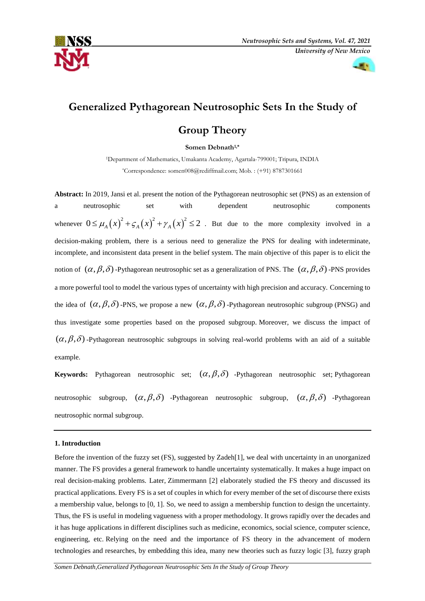



# **Generalized Pythagorean Neutrosophic Sets In the Study of**

# **Group Theory**

**Somen Debnath1,\***

<sup>1</sup>Department of Mathematics, Umakanta Academy, Agartala-799001; Tripura, INDIA \*Correspondence: somen008@rediffmail.com; Mob. : (+91) 8787301661

**Abstract:** In 2019, Jansi et al. present the notion of the Pythagorean neutrosophic set (PNS) as an extension of a neutrosophic set with dependent neutrosophic components whenever  $0 \le \mu_A(x)^2 + \varsigma_A(x)^2 + \gamma_A(x)^2 \le 2$ . But due to the more complexity involved in a decision-making problem, there is a serious need to generalize the PNS for dealing with indeterminate, incomplete, and inconsistent data present in the belief system. The main objective of this paper is to elicit the notion of  $(\alpha, \beta, \delta)$  -Pythagorean neutrosophic set as a generalization of PNS. The  $(\alpha, \beta, \delta)$  -PNS provides a more powerful tool to model the various types of uncertainty with high precision and accuracy. Concerning to the idea of  $(\alpha, \beta, \delta)$  -PNS, we propose a new  $(\alpha, \beta, \delta)$  -Pythagorean neutrosophic subgroup (PNSG) and thus investigate some properties based on the proposed subgroup. Moreover, we discuss the impact of  $(\alpha, \beta, \delta)$ -Pythagorean neutrosophic subgroups in solving real-world problems with an aid of a suitable example.

**Keywords:** Pythagorean neutrosophic set;  $(\alpha, \beta, \delta)$  -Pythagorean neutrosophic set; Pythagorean neutrosophic subgroup,  $(\alpha, \beta, \delta)$  -Pythagorean neutrosophic subgroup,  $(\alpha, \beta, \delta)$  -Pythagorean neutrosophic normal subgroup.

# **1. Introduction**

Before the invention of the fuzzy set (FS), suggested by Zadeh[1], we deal with uncertainty in an unorganized manner. The FS provides a general framework to handle uncertainty systematically. It makes a huge impact on real decision-making problems. Later, Zimmermann [2] elaborately studied the FS theory and discussed its practical applications. Every FS is a set of couples in which for every member of the set of discourse there exists a membership value, belongs to [0, 1]. So, we need to assign a membership function to design the uncertainty. Thus, the FS is useful in modeling vagueness with a proper methodology. It grows rapidly over the decades and it has huge applications in different disciplines such as medicine, economics, social science, computer science, engineering, etc. Relying on the need and the importance of FS theory in the advancement of modern technologies and researches, by embedding this idea, many new theories such as fuzzy logic [3], fuzzy graph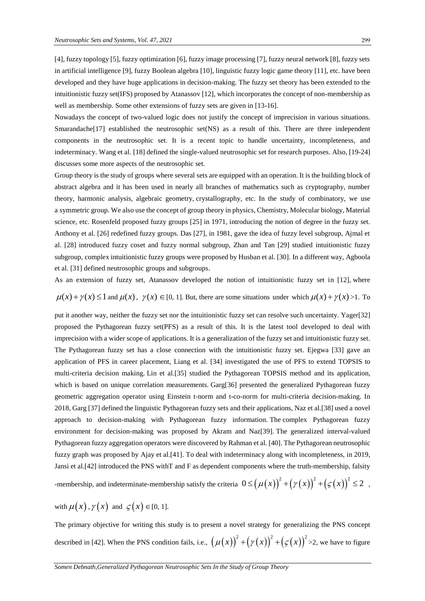[4], fuzzy topology [5], fuzzy optimization [6], fuzzy image processing [7], fuzzy neural network [8], fuzzy sets in artificial intelligence [9], fuzzy Boolean algebra [10], linguistic fuzzy logic game theory [11], etc. have been developed and they have huge applications in decision-making. The fuzzy set theory has been extended to the intuitionistic fuzzy set(IFS) proposed by Atanassov [12], which incorporates the concept of non-membership as well as membership. Some other extensions of fuzzy sets are given in [13-16].

Nowadays the concept of two-valued logic does not justify the concept of imprecision in various situations. Smarandache<sup>[17]</sup> established the neutrosophic set(NS) as a result of this. There are three independent components in the neutrosophic set. It is a recent topic to handle uncertainty, incompleteness, and indeterminacy. Wang et al. [18] defined the single-valued neutrosophic set for research purposes. Also, [19-24] discusses some more aspects of the neutrosophic set.

Group theory is the study of groups where several sets are equipped with an operation. It is the building block of abstract algebra and it has been used in nearly all branches of mathematics such as cryptography, number theory, harmonic analysis, algebraic geometry, crystallography, etc. In the study of combinatory, we use a symmetric group. We also use the concept of group theory in physics, Chemistry, Molecular biology, Material science, etc. Rosenfeld proposed fuzzy groups [25] in 1971, introducing the notion of degree in the fuzzy set. Anthony et al. [26] redefined fuzzy groups. Das [27], in 1981, gave the idea of fuzzy level subgroup, Ajmal et al. [28] introduced fuzzy coset and fuzzy normal subgroup, Zhan and Tan [29] studied intuitionistic fuzzy subgroup, complex intuitionistic fuzzy groups were proposed by Husban et al. [30]. In a different way, Agboola et al. [31] defined neutrosophic groups and subgroups.

As an extension of fuzzy set, Atanassov developed the notion of intuitionistic fuzzy set in [12], where

 $\mu(x) + \gamma(x) \leq 1$  and  $\mu(x)$ ,  $\gamma(x) \in [0, 1]$ . But, there are some situations under which  $\mu(x) + \gamma(x) > 1$ . To

put it another way, neither the fuzzy set nor the intuitionistic fuzzy set can resolve such uncertainty. Yager[32] proposed the Pythagorean fuzzy set(PFS) as a result of this. It is the latest tool developed to deal with imprecision with a wider scope of applications. It is a generalization of the fuzzy set and intuitionistic fuzzy set. The Pythagorean fuzzy set has a close connection with the intuitionistic fuzzy set. Ejegwa [33] gave an application of PFS in career placement, Liang et al. [34] investigated the use of PFS to extend TOPSIS to multi-criteria decision making. Lin et al.[35] studied the Pythagorean TOPSIS method and its application, which is based on unique correlation measurements. Garg[36] presented the generalized Pythagorean fuzzy geometric aggregation operator using Einstein t-norm and t-co-norm for multi-criteria decision-making. In 2018, Garg [37] defined the linguistic Pythagorean fuzzy sets and their applications, Naz et al.[38] used a novel approach to decision-making with Pythagorean fuzzy information. The complex Pythagorean fuzzy environment for decision-making was proposed by Akram and Naz[39]. The generalized interval-valued Pythagorean fuzzy aggregation operators were discovered by Rahman et al. [40]. The Pythagorean neutrosophic fuzzy graph was proposed by Ajay et al.[41]. To deal with indeterminacy along with incompleteness, in 2019, Jansi et al.[42] introduced the PNS withT and F as dependent components where the truth-membership, falsity

-membership, and indeterminate-membership satisfy the criteria  $0 \leq (\mu(x))^{2} + (\gamma(x))^{2} + (\varsigma(x))^{2}$  $0 \le (\mu(x))^2 + (\gamma(x))^2 + (\zeta(x))^2 \le 2$ ,

with  $\mu(x)$ ,  $\gamma(x)$  and  $\zeta(x) \in [0, 1]$ .

The primary objective for writing this study is to present a novel strategy for generalizing the PNS concept described in [42]. When the PNS condition fails, i.e.,  $(\mu(x))^2 + (\gamma(x))^2 + (\varsigma(x))^2$  $\mu(x)\big)^{2} + (\gamma(x))^{2} + (\zeta(x))^{2} > 2$ , we have to figure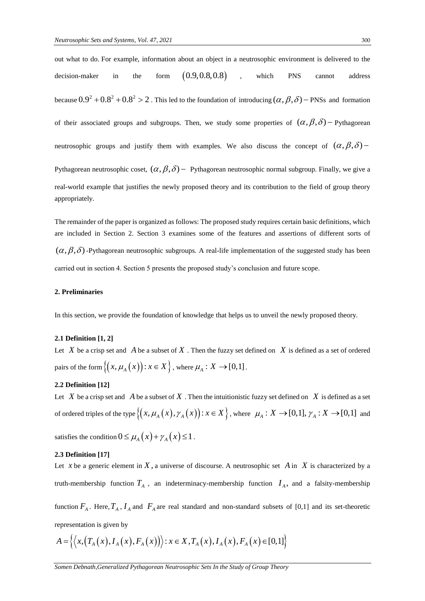out what to do. For example, information about an object in a neutrosophic environment is delivered to the decision-maker in the form  $(0.9, 0.8, 0.8)$ , which PNS cannot address because  $0.9^2 + 0.8^2 + 0.8^2 > 2$ . This led to the foundation of introducing  $(\alpha, \beta, \delta)$  – PNSs and formation of their associated groups and subgroups. Then, we study some properties of  $(\alpha, \beta, \delta)$  - Pythagorean neutrosophic groups and justify them with examples. We also discuss the concept of  $(\alpha, \beta, \delta)$ Pythagorean neutrosophic coset,  $(\alpha, \beta, \delta)$  - Pythagorean neutrosophic normal subgroup. Finally, we give a real-world example that justifies the newly proposed theory and its contribution to the field of group theory appropriately.

The remainder of the paper is organized as follows: The proposed study requires certain basic definitions, which are included in Section 2. Section 3 examines some of the features and assertions of different sorts of  $(\alpha, \beta, \delta)$ -Pythagorean neutrosophic subgroups. A real-life implementation of the suggested study has been carried out in section 4. Section 5 presents the proposed study's conclusion and future scope.

#### **2. Preliminaries**

In this section, we provide the foundation of knowledge that helps us to unveil the newly proposed theory.

#### **2.1 Definition [1, 2]**

Let  $X$  be a crisp set and  $A$  be a subset of  $X$ . Then the fuzzy set defined on  $X$  is defined as a set of ordered pairs of the form  $\{(x, \mu_A(x)) : x \in X\}$ , where  $\mu_A : X \to [0,1]$ .

#### **2.2 Definition [12]**

Let X be a crisp set and A be a subset of X . Then the intuitionistic fuzzy set defined on X is defined as a set of ordered triples of the type  $\{(x, \mu_A(x), \gamma_A(x)) : x \in X\}$ , where  $\mu_A : X \to [0,1], \gamma_A : X \to [0,1]$  and satisfies the condition  $0 \leq \mu_A(x) + \gamma_A(x) \leq 1$ .

#### **2.3 Definition [17]**

Let x be a generic element in X, a universe of discourse. A neutrosophic set A in X is characterized by a truth-membership function  $T_A$ , an indeterminacy-membership function  $I_A$ , and a falsity-membership

function  $F_A$ . Here,  $T_A$ ,  $I_A$  and  $F_A$  are real standard and non-standard subsets of [0,1] and its set-theoretic representation is given by

representation is given by  
\n
$$
A = \{ \langle x, (T_A(x), I_A(x), F_A(x)) \rangle : x \in X, T_A(x), I_A(x), F_A(x) \in [0,1] \}
$$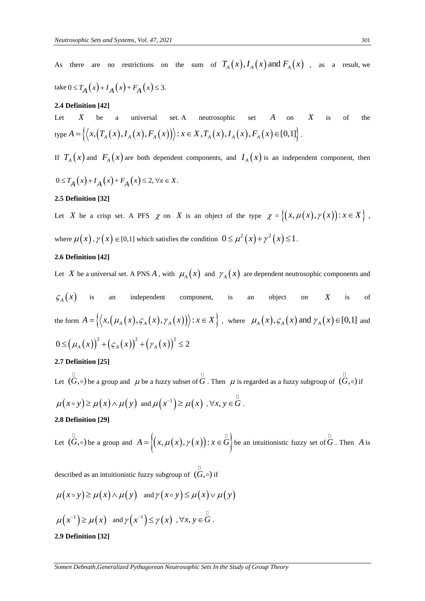As there are no restrictions on the sum of  $T_A(x)$ ,  $I_A(x)$  and  $F_A(x)$ , as a result, we

$$
\text{take } 0 \le T_A(x) + I_A(x) + F_A(x) \le 3.
$$

#### **2.4 Definition [42]**

Let *X* be a universal set. A neutrosophic set *A* on *X* is of the type **Perimition [42]**<br> *X* be a universal set. A neutrosophic set *A* on *X*<br>  $A = \left\{ \left\langle x, \left( T_A(x), I_A(x), F_A(x) \right) \right\rangle : x \in X, T_A(x), I_A(x), F_A(x) \in [0,1] \right\}.$ 

If  $T_A(x)$  and  $F_A(x)$  are both dependent components, and  $I_A(x)$  is an independent component, then

$$
0 \le T_A(x) + I_A(x) + F_A(x) \le 2, \forall x \in X.
$$

## **2.5 Definition [32]**

Let X be a crisp set. A PFS  $\chi$  on X is an object of the type  $\chi = \{(x, \mu(x), \gamma(x)) : x \in X\}$ , where  $\mu(x)$ ,  $\gamma(x) \in [0,1]$  which satisfies the condition  $0 \le \mu^2(x) + \gamma^2(x) \le 1$ .

#### **2.6 Definition [42]**

Let X be a universal set. A PNS A, with  $\mu_A(x)$  and  $\gamma_A(x)$  are dependent neutrosophic components and

$$
\mathcal{G}_A(x)
$$
 is an independent component, is an object on X is of  
the form  $A = \{ \langle x, (\mu_A(x), \varsigma_A(x), \gamma_A(x)) \rangle : x \in X \}$ , where  $\mu_A(x), \varsigma_A(x)$  and  $\gamma_A(x) \in [0,1]$  and  

$$
0 \leq (\mu_A(x))^2 + (\varsigma_A(x))^2 + (\gamma_A(x))^2 \leq 2
$$

#### **2.7 Definition [25]**

Let  $(G, \circ)$  be a group and  $\mu$  be a fuzzy subset of G. Then  $\mu$  is regarded as a fuzzy subgroup of  $(G, \circ)$  if  $\mu(x \circ y) \ge \mu(x) \wedge \mu(y)$  and  $\mu(x^{-1}) \ge \mu(x)$ ,  $\forall x, y \in \mathring{G}$ . **2.8 Definition [29]** 

Let  $(\overset{\Box}{G},\circ)$  be a group and  $A = \{(x,\mu(x),\gamma(x)): x \in \overset{\Box}{G}\}$  be an intuitionistic fuzzy set of  $\overset{\Box}{G}$ . Then A is

described as an intuitionistic fuzzy subgroup of  $(G, \circ)$  if

$$
\mu(x \circ y) \ge \mu(x) \wedge \mu(y) \quad \text{and } \gamma(x \circ y) \le \mu(x) \vee \mu(y)
$$

$$
\mu(x^{-1}) \ge \mu(x) \quad \text{and } \gamma(x^{-1}) \le \gamma(x) \quad , \forall x, y \in G.
$$

#### **2.9 Definition [32]**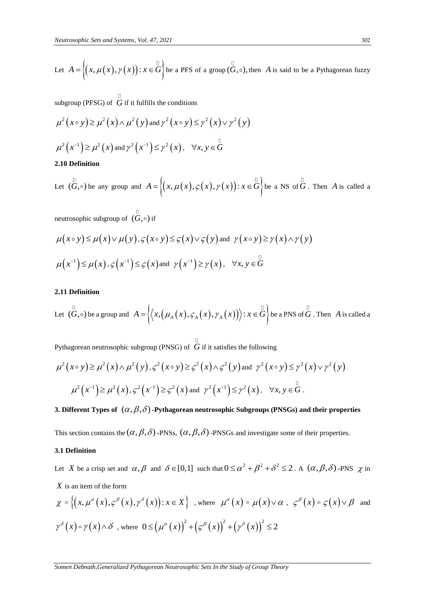Let 
$$
A = \{(x, \mu(x), \gamma(x)) : x \in \mathring{G}\}
$$
 be a PFS of a group  $(\mathring{G}, \circ)$ , then A is said to be a Pythagorean fuzzy

subgroup (PFSG) of  $G$  if it fulfills the conditions

$$
\mu^{2}(x \circ y) \geq \mu^{2}(x) \wedge \mu^{2}(y) \text{ and } \gamma^{2}(x \circ y) \leq \gamma^{2}(x) \vee \gamma^{2}(y)
$$
  

$$
\mu^{2}(x^{-1}) \geq \mu^{2}(x) \text{ and } \gamma^{2}(x^{-1}) \leq \gamma^{2}(x), \quad \forall x, y \in G
$$

# **2.10 Definition**

Let  $(\overline{G}, \circ)$  be any group and  $A = \{(x, \mu(x), \varsigma(x), \gamma(x)) : x \in \overline{G}\}$  be a NS of  $\overline{G}$ . Then A is called a

neutrosophic subgroup of  $(G, \circ)$  if

$$
\mu(x \circ y) \le \mu(x) \vee \mu(y), \varsigma(x \circ y) \le \varsigma(x) \vee \varsigma(y) \text{ and } \gamma(x \circ y) \ge \gamma(x) \wedge \gamma(y)
$$
  

$$
\mu(x^{-1}) \le \mu(x), \varsigma(x^{-1}) \le \varsigma(x) \text{ and } \gamma(x^{-1}) \ge \gamma(x), \forall x, y \in G
$$

#### **2.11 Definition**

Let  $(\overset{\Box}{G},\circ)$  be a group and  $A = \left\{ \left\langle x, \left( \mu_A(x), \varsigma_A(x), \gamma_A(x) \right) \right\rangle : x \in \overset{\Box}{G} \right\}$  be a PNS of  $\overset{\Box}{G}$ . Then  $A$  is called a

Pythagorean neutrosophic subgroup (PNSG) of G if it satisfies the following

$$
\mu^{2}(x \circ y) \geq \mu^{2}(x) \wedge \mu^{2}(y), \varsigma^{2}(x \circ y) \geq \varsigma^{2}(x) \wedge \varsigma^{2}(y) \text{ and } \gamma^{2}(x \circ y) \leq \gamma^{2}(x) \vee \gamma^{2}(y)
$$

$$
\mu^{2}(x^{-1}) \geq \mu^{2}(x), \varsigma^{2}(x^{-1}) \geq \varsigma^{2}(x) \text{ and } \gamma^{2}(x^{-1}) \leq \gamma^{2}(x), \quad \forall x, y \in G.
$$

# 3. Different Types of  $(\alpha, \beta, \delta)$  -Pythagorean neutrosophic Subgroups (PNSGs) and their properties

This section contains the  $(\alpha, \beta, \delta)$  -PNSs,  $(\alpha, \beta, \delta)$  -PNSGs and investigate some of their properties.

#### **3.1 Definition**

Let X be a crisp set and  $\alpha, \beta$  and  $\delta \in [0,1]$  such that  $0 \le \alpha^2 + \beta^2 + \delta^2 \le 2$ . A  $(\alpha, \beta, \delta)$ -PNS  $\chi$  in *X* is an item of the form

$$
\chi = \left\{ \left( x, \mu^{\alpha}(x), \varsigma^{\beta}(x), \gamma^{\delta}(x) \right) : x \in X \right\} \text{ , where } \mu^{\alpha}(x) = \mu(x) \vee \alpha \text{ , } \varsigma^{\beta}(x) = \varsigma(x) \vee \beta \text{ and }
$$
  

$$
\gamma^{\delta}(x) = \gamma(x) \wedge \delta \text{ , where } 0 \leq \left( \mu^{\alpha}(x) \right)^{2} + \left( \varsigma^{\beta}(x) \right)^{2} + \left( \gamma^{\delta}(x) \right)^{2} \leq 2
$$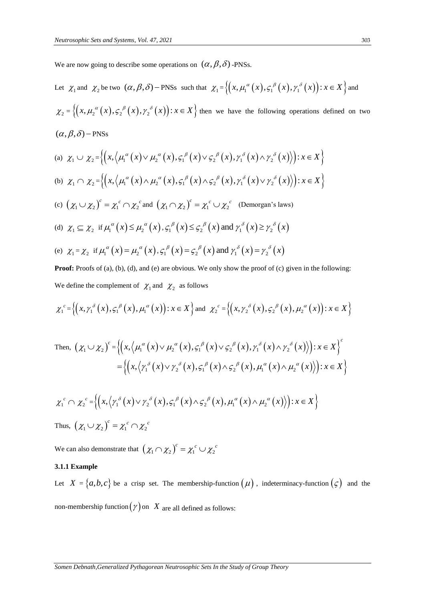We are now going to describe some operations on  $(\alpha, \beta, \delta)$  -PNSs.

Let 
$$
\chi_1
$$
 and  $\chi_2$  be two  $(\alpha, \beta, \delta)$  – PNSs such that  $\chi_1 = \{(x, \mu_1^{\alpha}(x), \varsigma_1^{\beta}(x), \gamma_1^{\delta}(x)) : x \in X \}$  and  
\n $\chi_2 = \{(x, \mu_2^{\alpha}(x), \varsigma_2^{\beta}(x), \gamma_2^{\delta}(x)) : x \in X \}$  then we have the following operations defined on two  
\n $(\alpha, \beta, \delta)$  – PNSs  
\n(a)  $\chi_1 \cup \chi_2 = \{(x, \langle \mu_1^{\alpha}(x) \vee \mu_2^{\alpha}(x), \varsigma_1^{\beta}(x) \vee \varsigma_2^{\beta}(x), \gamma_1^{\delta}(x) \wedge \gamma_2^{\delta}(x)\rangle) : x \in X \}$   
\n(b)  $\chi_1 \cap \chi_2 = \{(x, \langle \mu_1^{\alpha}(x) \wedge \mu_2^{\alpha}(x), \varsigma_1^{\beta}(x) \wedge \varsigma_2^{\beta}(x), \gamma_1^{\delta}(x) \vee \gamma_2^{\delta}(x)\rangle) : x \in X \}$   
\n(c)  $(\chi_1 \cup \chi_2)^c = \chi_1^c \cap \chi_2^c$  and  $(\chi_1 \cap \chi_2)^c = \chi_1^c \cup \chi_2^c$  (Demorgan's laws)  
\n(d)  $\chi_1 \subseteq \chi_2$  if  $\mu_1^{\alpha}(x) \leq \mu_2^{\alpha}(x), \varsigma_1^{\beta}(x) \leq \varsigma_2^{\beta}(x)$  and  $\gamma_1^{\delta}(x) \geq \gamma_2^{\delta}(x)$   
\n(e)  $\chi_1 = \chi_2$  if  $\mu_1^{\alpha}(x) = \mu_2^{\alpha}(x), \varsigma_1^{\beta}(x) = \varsigma_2^{\beta}(x)$  and  $\gamma_1^{\delta}(x) = \gamma_2^{\delta}(x)$ 

**Proof:** Proofs of (a), (b), (d), and (e) are obvious. We only show the proof of (c) given in the following: We define the complement of  $\chi_1$  and  $\chi_2$  as follows

$$
\chi_1^c = \left\{ \left( x, \gamma_1^{\delta}(x), \varsigma_1^{\beta}(x), \mu_1^{\alpha}(x) \right) : x \in X \right\} \text{ and } \chi_2^c = \left\{ \left( x, \gamma_2^{\delta}(x), \varsigma_2^{\beta}(x), \mu_2^{\alpha}(x) \right) : x \in X \right\}
$$

Then, 
$$
(\chi_1 \cup \chi_2)^c = \left\{ \left( x, \left\langle \mu_1^{\alpha}(x) \vee \mu_2^{\alpha}(x), \varsigma_1^{\beta}(x) \vee \varsigma_2^{\beta}(x), \gamma_1^{\delta}(x) \wedge \gamma_2^{\delta}(x) \right\rangle \right) : x \in X \right\}^c
$$

$$
= \left\{ \left( x, \left\langle \gamma_1^{\delta}(x) \vee \gamma_2^{\delta}(x), \varsigma_1^{\beta}(x) \wedge \varsigma_2^{\beta}(x), \mu_1^{\alpha}(x) \wedge \mu_2^{\alpha}(x) \right\rangle \right) : x \in X \right\}
$$

$$
\chi_1^c \cap \chi_2^c = \left\{ \left( x, \left\langle \gamma_1^{\delta}(x) \vee \gamma_2^{\delta}(x), \varsigma_1^{\beta}(x) \wedge \varsigma_2^{\beta}(x), \mu_1^{\alpha}(x) \wedge \mu_2^{\alpha}(x) \right\rangle \right) : x \in X \right\}
$$

Thus,  $(\chi_1 \cup \chi_2)^c = \chi_1^c \cap \chi_2^c$ 

We can also demonstrate that  $(\chi_1 \cap \chi_2)^c = \chi_1^c \cup \chi_2^c$ 

# **3.1.1 Example**

Let  $X = \{a, b, c\}$  be a crisp set. The membership-function  $(\mu)$ , indeterminacy-function  $(\varsigma)$  and the non-membership function  $(\gamma)$  on  $|X|$  are all defined as follows: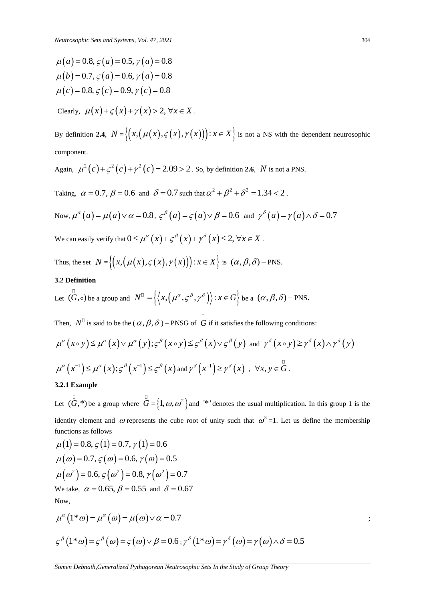$\mu(a) = 0.8$ ,  $\varsigma(a) = 0.5$ ,  $\gamma(a) = 0.8$  $\mu$ (*a*) = 0.6,  $\zeta$  (*a*) = 0.5,  $\gamma$  (*a*) = 0.6<br> $\mu$ (*b*) = 0.7,  $\zeta$  (*a*) = 0.6,  $\gamma$  (*a*) = 0.8  $\mu(v) = 0.7$ ,  $\zeta(u) = 0.0$ ,  $\gamma(u) = 0.8$ <br> $\mu(c) = 0.8$ ,  $\zeta(c) = 0.9$ ,  $\gamma(c) = 0.8$ 

Clearly,  $\mu(x)+\varsigma(x)+\gamma(x)>2, \forall x \in X$ .

By definition **2.4**,  $N = \{(x, (\mu(x), \varsigma(x), \gamma(x))): x \in X\}$  is not a NS with the dependent neutrosophic component.

Again,  $\mu^2(c) + \zeta^2(c) + \gamma^2(c) = 2.09 > 2$ . So, by definition **2.6**, *N* is not a PNS.

Taking,  $\alpha = 0.7$ ,  $\beta = 0.6$  and  $\delta = 0.7$  such that  $\alpha^2 + \beta^2 + \delta^2 = 1.34 < 2$ .

Now, 
$$
\mu^{\alpha}(a) = \mu(a) \lor \alpha = 0.8
$$
,  $\varsigma^{\beta}(a) = \varsigma(a) \lor \beta = 0.6$  and  $\gamma^{\delta}(a) = \gamma(a) \land \delta = 0.7$ 

We can easily verify that  $0 \le \mu^{\alpha}(x) + \zeta^{\beta}(x) + \gamma^{\delta}(x) \le 2, \forall x \in X$ .

Thus, the set  $N = \{(x, (\mu(x), \varsigma(x), \gamma(x))): x \in X\}$  is  $(\alpha, \beta, \delta)$  - PNS.

#### **3.2 Definition**

Let 
$$
(\overline{G}, \circ)
$$
 be a group and  $N^{\mathbb{D}} = \{ \langle x, (\mu^{\alpha}, \varsigma^{\beta}, \gamma^{\delta}) \rangle : x \in G \}$  be a  $(\alpha, \beta, \delta)$  - PNS.

Then, 
$$
N^{\mathbb{I}}
$$
 is said to be the  $(\alpha, \beta, \delta)$  – PNSG of *G* if it satisfies the following conditions:  
\n
$$
\mu^{\alpha}(x \circ y) \leq \mu^{\alpha}(x) \vee \mu^{\alpha}(y); \varsigma^{\beta}(x \circ y) \leq \varsigma^{\beta}(x) \vee \varsigma^{\beta}(y) \text{ and } \gamma^{\delta}(x \circ y) \geq \gamma^{\delta}(x) \wedge \gamma^{\delta}(y)
$$
\n
$$
\mu^{\alpha}(x^{-1}) \leq \mu^{\alpha}(x); \varsigma^{\beta}(x^{-1}) \leq \varsigma^{\beta}(x) \text{ and } \gamma^{\delta}(x^{-1}) \geq \gamma^{\delta}(x) , \forall x, y \in \mathring{G}.
$$

#### **3.2.1 Example**

Let  $(G,*)$  be a group where  $\tilde{G} = \{1, \omega, \omega^2\}$  and '\*' denotes the usual multiplication. In this group 1 is the identity element and  $\omega$  represents the cube root of unity such that  $\omega^3 = 1$ . Let us define the membership

functions as follows  
\n
$$
\mu(1) = 0.8, \zeta(1) = 0.7, \gamma(1) = 0.6
$$
\n
$$
\mu(\omega) = 0.7, \zeta(\omega) = 0.6, \gamma(\omega) = 0.5
$$
\n
$$
\mu(\omega^2) = 0.6, \zeta(\omega^2) = 0.8, \gamma(\omega^2) = 0.7
$$
\nWe take,  $\alpha = 0.65, \beta = 0.55$  and  $\delta = 0.67$   
\nNow,

$$
\mu^{\alpha}(1^*\omega) = \mu^{\alpha}(\omega) = \mu(\omega) \vee \alpha = 0.7
$$

$$
\varsigma^{\beta}(1^*\omega) = \varsigma^{\beta}(\omega) = \varsigma(\omega) \vee \beta = 0.6 ; \gamma^{\delta}(1^*\omega) = \gamma^{\delta}(\omega) = \gamma(\omega) \wedge \delta = 0.5
$$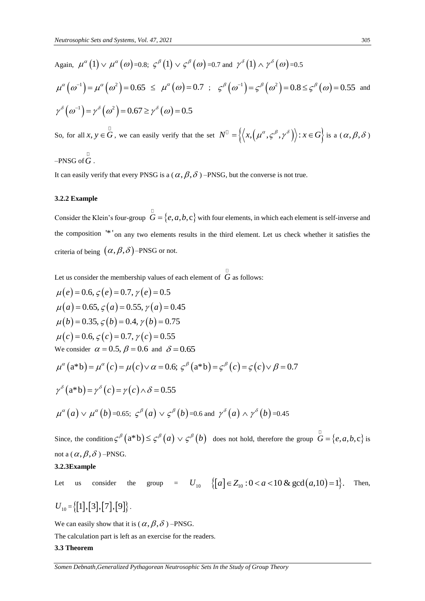Again, 
$$
\mu^{\alpha}(1) \vee \mu^{\alpha}(\omega) = 0.8; \zeta^{\beta}(1) \vee \zeta^{\beta}(\omega) = 0.7
$$
 and  $\gamma^{\delta}(1) \wedge \gamma^{\delta}(\omega) = 0.5$   
\n
$$
\mu^{\alpha}(\omega^{-1}) = \mu^{\alpha}(\omega^2) = 0.65 \le \mu^{\alpha}(\omega) = 0.7; \zeta^{\beta}(\omega^{-1}) = \zeta^{\beta}(\omega^2) = 0.8 \le \zeta^{\beta}(\omega) = 0.55
$$
 and  
\n
$$
\gamma^{\delta}(\omega^{-1}) = \gamma^{\delta}(\omega^2) = 0.67 \ge \gamma^{\delta}(\omega) = 0.5
$$
  
\nSo, for all  $x, y \in G$ , we can easily verify that the set  $N^{\mathbb{I}} = \{ \langle x, (\mu^{\alpha}, \zeta^{\beta}, \gamma^{\delta}) \rangle : x \in G \}$  is a  $(\alpha, \beta, \delta)$ 

 $-PNSG$  of  $G$  .

It can easily verify that every PNSG is a ( $\alpha, \beta, \delta$  ) –PNSG, but the converse is not true.

#### **3.2.2 Example**

Consider the Klein's four-group  $G = \{e, a, b, c\}$  with four elements, in which each element is self-inverse and the composition <sup>\*\*</sup> on any two elements results in the third element. Let us check whether it satisfies the criteria of being  $(\alpha, \beta, \delta)$ -PNSG or not.

Let us consider the membership values of each element of *G* as follows:  
\n
$$
\mu(e) = 0.6, \zeta(e) = 0.7, \gamma(e) = 0.5
$$
\n
$$
\mu(a) = 0.65, \zeta(a) = 0.55, \gamma(a) = 0.45
$$
\n
$$
\mu(b) = 0.35, \zeta(b) = 0.4, \gamma(b) = 0.75
$$
\n
$$
\mu(c) = 0.6, \zeta(c) = 0.7, \gamma(c) = 0.55
$$
\nWe consider  $\alpha = 0.5$ ,  $\beta = 0.6$  and  $\delta = 0.65$ \n
$$
\mu^{\alpha}(a * b) = \mu^{\alpha}(c) = \mu(c) \lor \alpha = 0.6; \zeta^{\beta}(a * b) = \zeta^{\beta}(c) = \zeta(c) \lor \beta = 0.7
$$
\n
$$
\gamma^{\delta}(a * b) = \gamma^{\delta}(c) = \gamma(c) \land \delta = 0.55
$$
\n
$$
\mu^{\alpha}(a) \lor \mu^{\alpha}(b) = 0.65; \zeta^{\beta}(a) \lor \zeta^{\beta}(b) = 0.6 \text{ and } \gamma^{\delta}(a) \land \gamma^{\delta}(b) = 0.45
$$

Since, the condition  $\zeta^{\beta}(a^*b) \leq \zeta^{\beta}(a) \vee \zeta^{\beta}(b)$  does not hold, therefore the group  $\overline{G} = \{e, a, b, c\}$  is not a (  $\alpha, \beta, \delta$  ) –PNSG.

**3.2.3Example** 

Let us consider the group = *<sup>U</sup>*<sup>10</sup> *a Z a a* <sup>10</sup> :0 10 & gcd ,10 1 . Then,

 $U_{10} = \{ [1], [3], [7], [9] \}.$ 

We can easily show that it is  $(\alpha, \beta, \delta)$  –PNSG.

The calculation part is left as an exercise for the readers.

#### **3.3 Theorem**

*Somen Debnath,Generalized Pythagorean Neutrosophic Sets In the Study of Group Theory*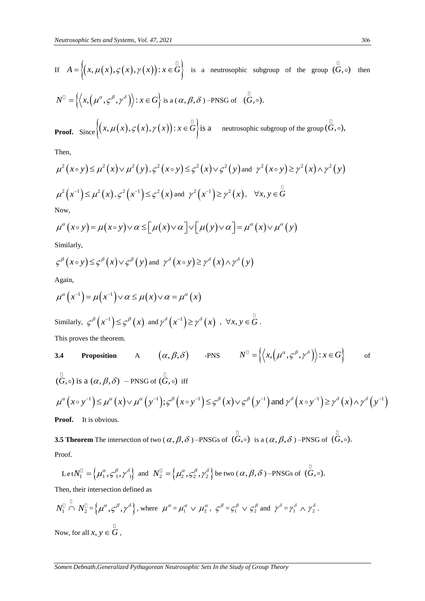If 
$$
A = \{(x, \mu(x), \varsigma(x), \gamma(x)) : x \in \mathring{G}\}
$$
 is a neutrosophic subgroup of the group  $(\mathring{G}, \circ)$  then

$$
N^{\mathbb{I}} = \left\{ \left\langle x, \left( \mu^{\alpha}, \varsigma^{\beta}, \gamma^{\delta} \right) \right\rangle : x \in G \right\} \text{ is a } (\alpha, \beta, \delta) \text{ -PNSG of } (\overset{\mathbb{I}}{G}, \circ).
$$
  
**Proof.** Since  $\left\{ \left( x, \mu(x), \varsigma(x), \gamma(x) \right) : x \in \overset{\mathbb{I}}{G} \right\} \text{ is a \text{ neutrosophic subgroup of the group } (\overset{\mathbb{I}}{G}, \circ),$ 

Then,

$$
\mu^{2}(x \circ y) \leq \mu^{2}(x) \vee \mu^{2}(y), \varsigma^{2}(x \circ y) \leq \varsigma^{2}(x) \vee \varsigma^{2}(y) \text{ and } \gamma^{2}(x \circ y) \geq \gamma^{2}(x) \wedge \gamma^{2}(y)
$$
  

$$
\mu^{2}(x^{-1}) \leq \mu^{2}(x), \varsigma^{2}(x^{-1}) \leq \varsigma^{2}(x) \text{ and } \gamma^{2}(x^{-1}) \geq \gamma^{2}(x), \forall x, y \in \overline{G}
$$
  
Now,  

$$
\mu^{\alpha}(x \circ y) = \mu(x \circ y) \vee \alpha \leq [\mu(x) \vee \alpha] \vee [\mu(y) \vee \alpha] = \mu^{\alpha}(x) \vee \mu^{\alpha}(y)
$$

$$
\mu^{\alpha}(x \circ y) = \mu(x \circ y) \lor \alpha \leq [\mu(x) \lor \alpha] \lor [\mu(y) \lor \alpha] = \mu^{\alpha}(x) \lor \mu^{\alpha}(y)
$$

Similarly,

$$
\varsigma^{\beta}\left(x\circ y\right)\leq \varsigma^{\beta}\left(x\right)\vee\varsigma^{\beta}\left(y\right) \text{ and } \gamma^{\delta}\left(x\circ y\right)\geq \gamma^{\delta}\left(x\right)\wedge\gamma^{\delta}\left(y\right)
$$

Again,

Again,  
\n
$$
\mu^{\alpha}(x^{-1}) = \mu(x^{-1}) \vee \alpha \le \mu(x) \vee \alpha = \mu^{\alpha}(x)
$$
\nSimilarly,  $\varsigma^{\beta}(x^{-1}) \le \varsigma^{\beta}(x)$  and  $\gamma^{\delta}(x^{-1}) \ge \gamma^{\delta}(x)$ ,  $\forall x, y \in \mathring{G}$ .

This proves the theorem.

**3.4 Proposition** A 
$$
(\alpha, \beta, \delta)
$$
 -PNS  $N^{\mathbb{D}} = \{ \langle x, (\mu^{\alpha}, \varsigma^{\beta}, \gamma^{\delta}) \rangle : x \in G \}$  of

$$
\int_{0}^{\pi} (\tilde{G}, \circ) \text{ is a } (\alpha, \beta, \delta) - \text{PNSG of } (\tilde{G}, \circ) \text{ iff}
$$
\n
$$
\mu^{\alpha} (x \circ y^{-1}) \le \mu^{\alpha} (x) \vee \mu^{\alpha} (y^{-1}); \varsigma^{\beta} (x \circ y^{-1}) \le \varsigma^{\beta} (x) \vee \varsigma^{\beta} (y^{-1}) \text{ and } \gamma^{\delta} (x \circ y^{-1}) \ge \gamma^{\delta} (x) \wedge \gamma^{\delta} (y^{-1})
$$

í.

**Proof.** It is obvious.

**3.5 Theorem** The intersection of two  $(\alpha, \beta, \delta)$  –PNSGs of  $(G, \circ)$  is a  $(\alpha, \beta, \delta)$  –PNSG of  $(G, \circ)$ . Proof.

Let 
$$
N_1^{\mathbb{D}} = \left\{ \mu_1^{\alpha}, \varsigma_1^{\beta}, \gamma_1^{\delta} \right\}
$$
 and  $N_2^{\mathbb{D}} = \left\{ \mu_2^{\alpha}, \varsigma_2^{\beta}, \gamma_2^{\delta} \right\}$  be two  $(\alpha, \beta, \delta)$  -PNSGs of  $(G, \circ)$ .

Then, their intersection defined as

$$
N_1^{\Box} \cap N_2^{\Box} = \left\{ \mu^{\alpha}, \varsigma^{\beta}, \gamma^{\delta} \right\}, \text{ where } \mu^{\alpha} = \mu_1^{\alpha} \vee \mu_2^{\alpha}, \varsigma^{\beta} = \varsigma_1^{\beta} \vee \varsigma_2^{\beta} \text{ and } \gamma^{\delta} = \gamma_1^{\delta} \wedge \gamma_2^{\delta}.
$$
  
Now, for all  $x, y \in G$ ,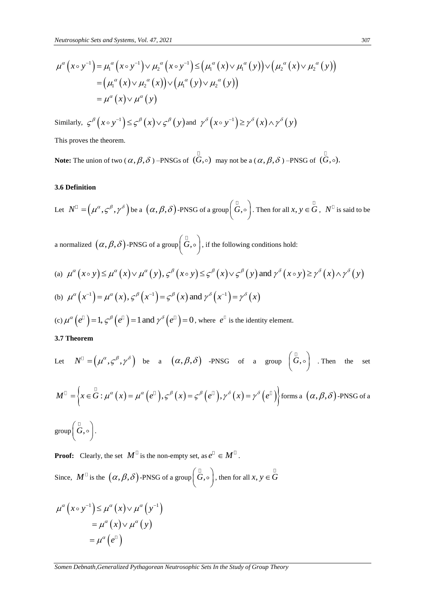*Neutrosophic Sets and Systems, Vol. 47, 2021*  
\n
$$
\mu^{\alpha}(x \circ y^{-1}) = \mu_1^{\alpha}(x \circ y^{-1}) \vee \mu_2^{\alpha}(x \circ y^{-1}) \leq (\mu_1^{\alpha}(x) \vee \mu_1^{\alpha}(y)) \vee (\mu_2^{\alpha}(x) \vee \mu_2^{\alpha}(y))
$$
\n
$$
= (\mu_1^{\alpha}(x) \vee \mu_2^{\alpha}(x)) \vee (\mu_1^{\alpha}(y) \vee \mu_2^{\alpha}(y))
$$
\n
$$
= \mu^{\alpha}(x) \vee \mu^{\alpha}(y)
$$

Similarly,  $\varsigma^{\beta}(x \circ y^{-1}) \leq \varsigma^{\beta}(x) \vee \varsigma^{\beta}(y)$  $\varsigma^{\beta}(x \circ y^{-1}) \leq \varsigma^{\beta}(x) \vee \varsigma^{\beta}(y)$  $\overline{a}$  $\leq \zeta^{\beta}(x) \vee \zeta^{\beta}(y)$  and  $\gamma^{\delta}(x \circ y^{-1}) \geq \gamma^{\delta}(x) \wedge \gamma^{\delta}(y)$  $\gamma^{\delta}(x \circ y^{-1}) \geq \gamma^{\delta}(x) \wedge \gamma^{\delta}(y)$  $\overline{a}$  $\geq \gamma^{\delta}(x) \wedge \gamma^{\delta}$ 

This proves the theorem.

**Note:** The union of two  $(\alpha, \beta, \delta)$  –PNSGs of  $(G, \circ)$  may not be a  $(\alpha, \beta, \delta)$  –PNSG of  $(G, \circ)$ .

#### **3.6 Definition**

Let 
$$
N^{\mathbb{D}} = (\mu^{\alpha}, \varsigma^{\beta}, \gamma^{\delta})
$$
 be a  $(\alpha, \beta, \delta)$ -PNSG of a group  $(\overset{\mathbb{D}}{G}, \circ)$ . Then for all  $x, y \in \overset{\mathbb{D}}{G}, N^{\mathbb{D}}$  is said to be

a normalized  $(\alpha, \beta, \delta)$ -PNSG of a group $\left(\overset{\Box}{G}, \circ\right)$ , if the following conditions hold:

a normalized 
$$
(\alpha, \beta, \delta)
$$
-PNSG of a group  $(\overset{\Box}{G}, \circ)$ , if the following conditions hold:  
\n(a)  $\mu^{\alpha}(x \circ y) \leq \mu^{\alpha}(x) \vee \mu^{\alpha}(y), \varsigma^{\beta}(x \circ y) \leq \varsigma^{\beta}(x) \vee \varsigma^{\beta}(y)$  and  $\gamma^{\delta}(x \circ y) \geq \gamma^{\delta}(x) \wedge \gamma^{\delta}(y)$   
\n(b)  $\mu^{\alpha}(x^{-1}) = \mu^{\alpha}(x), \varsigma^{\beta}(x^{-1}) = \varsigma^{\beta}(x)$  and  $\gamma^{\delta}(x^{-1}) = \gamma^{\delta}(x)$ 

(c) 
$$
\mu^{\alpha}(e^{\beta}) = 1
$$
,  $\varsigma^{\beta}(e^{\beta}) = 1$  and  $\gamma^{\delta}(e^{\beta}) = 0$ , where  $e^{\beta}$  is the identity element.

**3.7 Theorem** 

Let 
$$
N^{\mathbb{D}} = (\mu^{\alpha}, \varsigma^{\beta}, \gamma^{\delta})
$$
 be a  $(\alpha, \beta, \delta)$  -PNSG of a group  $(G, \circ)$ . Then the set

$$
M^{\mathbb{D}} = \left\{ x \in \mathring{G} : \mu^{\alpha}(x) = \mu^{\alpha}(e^{\mathbb{D}}), \varsigma^{\beta}(x) = \varsigma^{\beta}(e^{\mathbb{D}}), \gamma^{\delta}(x) = \gamma^{\delta}(e^{\mathbb{D}}) \right\}
$$
 forms a  $(\alpha, \beta, \delta)$ -PNSG of a

 $\text{group}\left(\overset{\square}{G},\circ\right).$ 

**Proof:** Clearly, the set  $M^{\square}$  is the non-empty set, as  $e^{\square} \in M^{\square}$ .

Since,  $M^{\square}$  is the  $(\alpha, \beta, \delta)$ -PNSG of a group $(\overset{\square}{G}, \circ)$ , then for all  $x, y \in \overset{\square}{G}$ 

$$
\mu^{\alpha}(x \circ y^{-1}) \leq \mu^{\alpha}(x) \vee \mu^{\alpha}(y^{-1})
$$

$$
= \mu^{\alpha}(x) \vee \mu^{\alpha}(y)
$$

$$
= \mu^{\alpha}(e^{T})
$$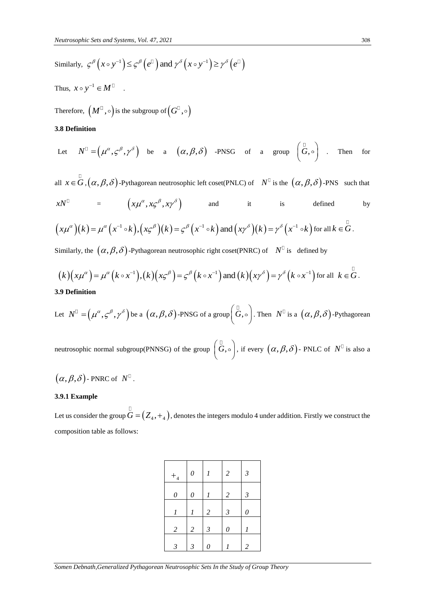Similarly,  $\mathcal{L}^{\beta}(x \circ y^{-1}) \leq \mathcal{L}^{\beta}(\mathbf{e}^{\mathbb{I}})$  and  $\gamma^{\delta}(x \circ y^{-1}) \geq \gamma^{\delta}(\mathbf{e}^{\mathbb{I}})$ 

Thus,  $x \circ y^{-1} \in M^{\square}$ .

Therefore,  $(M^{\mathbb{C}}, \circ)$  is the subgroup of  $(G^{\mathbb{C}}, \circ)$ 

# **3.8 Definition**

Let 
$$
N^{\mathbb{D}} = (\mu^{\alpha}, \varsigma^{\beta}, \gamma^{\delta})
$$
 be a  $(\alpha, \beta, \delta)$  -PNSG of a group  $(\overset{\mathbb{D}}{G}, \circ)$ . Then for

all  $x \in G$ ,  $(\alpha, \beta, \delta)$ -Pythagorean neutrosophic left coset(PNLC) of  $N^{\Box}$  is the  $(\alpha, \beta, \delta)$ -PNS such that  $xN^{\perp}$  =  $\left(x\mu^{\alpha}, x\varsigma^{\beta}, x\gamma^{\delta}\right)$  and it is defined by

$$
xN^{\mathbb{I}} = \left(x\mu^{\alpha}, x\zeta^{\beta}, x\gamma^{\delta}\right) \quad \text{and} \quad \text{it} \quad \text{is} \quad \text{defined}
$$
\n
$$
\left(x\mu^{\alpha}\right)(k) = \mu^{\alpha}\left(x^{-1} \circ k\right), \left(x\zeta^{\beta}\right)(k) = \zeta^{\beta}\left(x^{-1} \circ k\right) \text{and} \left(x\gamma^{\delta}\right)(k) = \gamma^{\delta}\left(x^{-1} \circ k\right) \text{for all } k \in G.
$$

Similarly, the  $(\alpha, \beta, \delta)$ -Pythagorean neutrosophic right coset(PNRC) of  $N^{\mathbb{D}}$  is defined by

Similarly, the 
$$
(\alpha, \beta, \delta)
$$
-Pythagorean neutrosophic right coset(PNRC) of  $N^{\square}$  is defined by  
\n
$$
(k)(x\mu^{\alpha}) = \mu^{\alpha}(k \circ x^{-1}), (k)(x\varsigma^{\beta}) = \varsigma^{\beta}(k \circ x^{-1}) \text{ and } (k)(x\gamma^{\delta}) = \gamma^{\delta}(k \circ x^{-1}) \text{ for all } k \in G.
$$
\n3.9 Definition

#### **3.9 Definition**

Let 
$$
N^{\mathbb{D}} = (\mu^{\alpha}, \varsigma^{\beta}, \gamma^{\delta})
$$
 be a  $(\alpha, \beta, \delta)$ -PNSG of a group  $(\overset{\mathbb{D}}{G}, \circ)$ . Then  $N^{\mathbb{D}}$  is a  $(\alpha, \beta, \delta)$ -Pythagorean

neutrosophic normal subgroup(PNNSG) of the group  $(\overline{G}, \circ),$  if every  $(\alpha, \beta, \delta)$ -PNLC of  $N^{\Box}$  is also a

$$
(\alpha, \beta, \delta)
$$
-PNRC of  $N^{\mathbb{I}}$ .

#### **3.9.1 Example**

Let us consider the group  $G = (Z_{_4}, + _{_4})$ , denotes the integers modulo 4 under addition. Firstly we construct the composition table as follows:

| $+_{\rm 4}$    | $\theta$         | 1                | $\sqrt{2}$                | $\mathfrak{Z}$ |
|----------------|------------------|------------------|---------------------------|----------------|
| $\theta$       | $\theta$         | $\boldsymbol{l}$ | $\overline{c}$            | $\mathfrak{Z}$ |
| 1              | $\boldsymbol{l}$ | $\overline{c}$   | $\mathfrak{Z}$            | $\theta$       |
| $\overline{c}$ | $\boldsymbol{2}$ | $\mathfrak{Z}$   | $\boldsymbol{\mathit{0}}$ | 1              |
| $\mathfrak{Z}$ | 3                | 0                |                           | $\mathfrak{2}$ |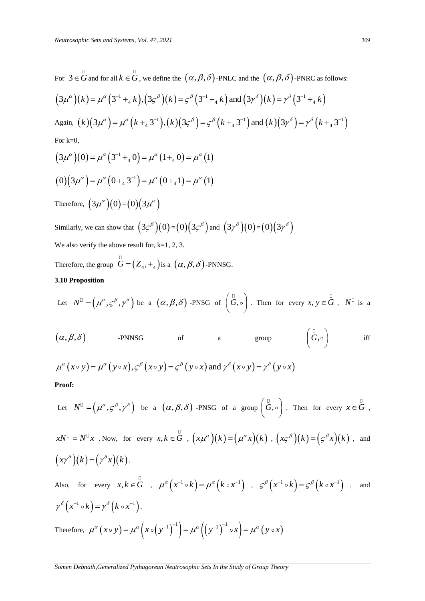For 
$$
3 oldsymbol{\in} \overrightarrow{G}
$$
 and for all  $k \in \overrightarrow{G}$ , we define the  $(\alpha, \beta, \delta)$ -PNLC and the  $(\alpha, \beta, \delta)$ -PNRC as follows:  
\n $(3\mu^{\alpha})(k) = \mu^{\alpha}(3^{-1} +_{4} k), (3\varsigma^{\beta})(k) = \varsigma^{\beta}(3^{-1} +_{4} k)$  and  $(3\gamma^{\delta})(k) = \gamma^{\delta}(3^{-1} +_{4} k)$   
\nAgain,  $(k)(3\mu^{\alpha}) = \mu^{\alpha}(k +_{4} 3^{-1}), (k)(3\varsigma^{\beta}) = \varsigma^{\beta}(k +_{4} 3^{-1})$  and  $(k)(3\gamma^{\delta}) = \gamma^{\delta}(k +_{4} 3^{-1})$   
\nFor k=0,  
\n $(3\mu^{\alpha})(0) = \mu^{\alpha}(3^{-1} +_{4} 0) = \mu^{\alpha}(1 +_{4} 0) = \mu^{\alpha}(1)$   
\n $(0)(3\mu^{\alpha}) = \mu^{\alpha}(0 +_{4} 3^{-1}) = \mu^{\alpha}(0 +_{4} 1) = \mu^{\alpha}(1)$   
\nTherefore,  $(3\mu^{\alpha})(0) = (0)(3\mu^{\alpha})$   
\nSimilarly, we can show that  $(3\varsigma^{\beta})(0) = (0)(3\varsigma^{\beta})$  and  $(3\gamma^{\delta})(0) = (0)(3\gamma^{\delta})$   
\nWe also verify the above result for, k=1, 2, 3.

Therefore, the group  $G = (Z_4, +_4)$  is a  $(\alpha, \beta, \delta)$ -PNNSG.

# **3.10 Proposition**

Let 
$$
N^{\mathbb{D}} = (\mu^{\alpha}, \varsigma^{\beta}, \gamma^{\delta})
$$
 be a  $(\alpha, \beta, \delta)$ -PNSG of  $(\mathring{G}, \circ)$ . Then for every  $x, y \in \mathring{G}$ ,  $N^{\mathbb{D}}$  is a

$$
(\alpha, \beta, \delta)
$$
 -PNNSG of group  $(\overset{\Box}{G}, \circ)$  iff   
 $\mu^{\alpha}(x \circ y) = \mu^{\alpha}(y \circ x), \varsigma^{\beta}(x \circ y) = \varsigma^{\beta}(y \circ x)$  and  $\gamma^{\delta}(x \circ y) = \gamma^{\delta}(y \circ x)$ 

$$
\mu^{\alpha}(x \circ y) = \mu^{\alpha}(y \circ x), \varsigma^{\beta}(x \circ y) = \varsigma^{\beta}(y \circ x) \text{ and } \gamma^{\delta}(x \circ y) = \gamma^{\delta}(y \circ x)
$$

# **Proof:**

Let 
$$
N^{\square} = (\mu^{\alpha}, \varsigma^{\beta}, \gamma^{\delta})
$$
 be a  $(\alpha, \beta, \delta)$ -PNSG of a group  $(\overline{G}, \circ)$ . Then for every  $x \in \overline{G}$ ,  
\n $xN^{\square} = N^{\square}x$ . Now, for every  $x, k \in \overline{G}$ ,  $(x\mu^{\alpha})(k) = (\mu^{\alpha}x)(k)$ ,  $(x\varsigma^{\beta})(k) = (\varsigma^{\beta}x)(k)$ , and  
\n $(x\gamma^{\delta})(k) = (\gamma^{\delta}x)(k)$ .  
\nAlso, for every  $x, k \in \overline{G}$ ,  $\mu^{\alpha}(x^{-1} \circ k) = \mu^{\alpha}(k \circ x^{-1})$ ,  $\varsigma^{\beta}(x^{-1} \circ k) = \varsigma^{\beta}(k \circ x^{-1})$ , and  
\n $\gamma^{\delta}(x^{-1} \circ k) = \gamma^{\delta}(k \circ x^{-1})$ .  
\nTherefore,  $\mu^{\alpha}(x \circ y) = \mu^{\alpha}(x \circ (y^{-1})^{-1}) = \mu^{\alpha}((y^{-1})^{-1} \circ x) = \mu^{\alpha}(y \circ x)$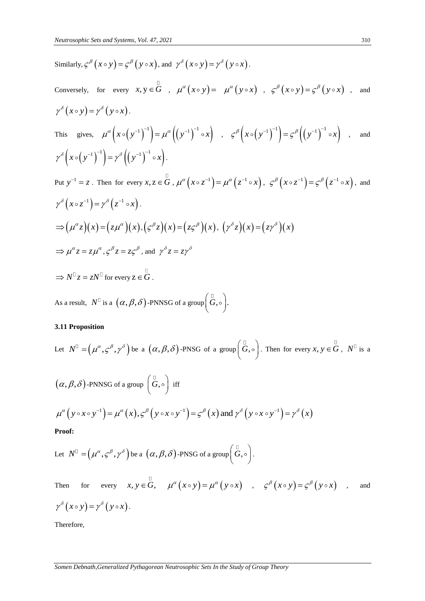Similarly, 
$$
\zeta^{\beta}(x \circ y) = \zeta^{\beta}(y \circ x)
$$
, and  $\gamma^{\delta}(x \circ y) = \gamma^{\delta}(y \circ x)$ .  
\nConversely, for every  $x, y \in G$ ,  $\mu^{\alpha}(x \circ y) = \mu^{\alpha}(y \circ x)$ ,  $\zeta^{\beta}(x \circ y) = \zeta^{\beta}(y \circ x)$ , and  
\n $\gamma^{\delta}(x \circ y) = \gamma^{\delta}(y \circ x)$ .  
\nThis gives,  $\mu^{\alpha}(x \circ (y^{-1})^{-1}) = \mu^{\alpha}((y^{-1})^{-1} \circ x)$ ,  $\zeta^{\beta}(x \circ (y^{-1})^{-1}) = \zeta^{\beta}((y^{-1})^{-1} \circ x)$ , and  
\n $\gamma^{\delta}(x \circ (y^{-1})^{-1}) = \gamma^{\delta}((y^{-1})^{-1} \circ x)$ .  
\nPut  $y^{-1} = z$ . Then for every  $x, z \in G$ ,  $\mu^{\alpha}(x \circ z^{-1}) = \mu^{\alpha}(z^{-1} \circ x)$ ,  $\zeta^{\beta}(x \circ z^{-1}) = \zeta^{\beta}(z^{-1} \circ x)$ , and  
\n $\gamma^{\delta}(x \circ z^{-1}) = \gamma^{\delta}(z^{-1} \circ x)$ .  
\n $\Rightarrow (\mu^{\alpha}z)(x) = (z\mu^{\alpha})(x), (\zeta^{\beta}z)(x) = (z\zeta^{\beta})(x), (\gamma^{\delta}z)(x) = (z\gamma^{\delta})(x)$   
\n $\Rightarrow \mu^{\alpha}z = z\mu^{\alpha}, \zeta^{\beta}z = z\zeta^{\beta}$ , and  $\gamma^{\delta}z = z\gamma^{\delta}$   
\n $\Rightarrow N^{\square}z = zN^{\square}$  for every  $z \in G$ .  
\nAs a result,  $N^{\square}$  is a  $(\alpha, \beta, \delta)$ -PNNSG of a group  $(\overline{G}, \circ)$ .

# **3.11 Proposition**

Let 
$$
N^{\mathbb{D}} = (\mu^{\alpha}, \varsigma^{\beta}, \gamma^{\delta})
$$
 be a  $(\alpha, \beta, \delta)$ -PNSG of a group  $(\overset{\mathbb{D}}{G}, \circ)$ . Then for every  $x, y \in \overset{\mathbb{D}}{G}$ ,  $N^{\mathbb{D}}$  is a  $(\alpha, \beta, \delta)$ -PNNSG of a group  $(\overset{\mathbb{D}}{G}, \circ)$  iff  

$$
\mu^{\alpha} (y \circ x \circ y^{-1}) = \mu^{\alpha} (x), \varsigma^{\beta} (y \circ x \circ y^{-1}) = \varsigma^{\beta} (x)
$$
 and  $\gamma^{\delta} (y \circ x \circ y^{-1}) = \gamma^{\delta} (x)$   
**Proof:**

Let 
$$
N^{\mathbb{D}} = (\mu^{\alpha}, \varsigma^{\beta}, \gamma^{\delta})
$$
 be a  $(\alpha, \beta, \delta)$ -PNSG of a group  $(\overset{\mathbb{D}}{G}, \circ)$ .

Then for every 
$$
x, y \in G
$$
,  $\mu^{\alpha}(x \circ y) = \mu^{\alpha}(y \circ x)$ ,  $\varsigma^{\beta}(x \circ y) = \varsigma^{\beta}(y \circ x)$ , and  $\gamma^{\delta}(x \circ y) = \gamma^{\delta}(y \circ x)$ .

Therefore,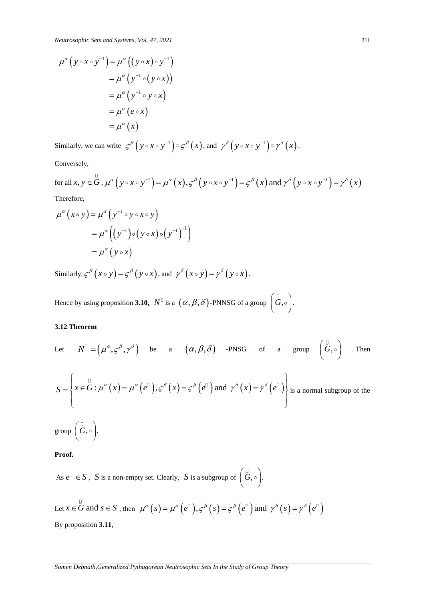$$
\mu^{\alpha} (y \circ x \circ y^{-1}) = \mu^{\alpha} ((y \circ x) \circ y^{-1})
$$
  
= 
$$
\mu^{\alpha} (y^{-1} \circ (y \circ x))
$$
  
= 
$$
\mu^{\alpha} (y^{-1} \circ y \circ x)
$$
  
= 
$$
\mu^{\alpha} (e \circ x)
$$
  
= 
$$
\mu^{\alpha} (x)
$$

Conversely,

Similarly, we can write 
$$
\varsigma^{\beta}(y \circ x \circ y^{-1}) = \varsigma^{\beta}(x)
$$
, and  $\gamma^{\delta}(y \circ x \circ y^{-1}) = \gamma^{\delta}(x)$ .  
\nConversely,  
\nfor all  $x, y \in G$ ,  $\mu^{\alpha}(y \circ x \circ y^{-1}) = \mu^{\alpha}(x), \varsigma^{\beta}(y \circ x \circ y^{-1}) = \varsigma^{\beta}(x)$  and  $\gamma^{\delta}(y \circ x \circ y^{-1}) = \gamma^{\delta}(x)$ .

Therefore,

Therefore,  
\n
$$
\mu^{\alpha}(x \circ y) = \mu^{\alpha}(y^{-1} \circ y \circ x \circ y)
$$
\n
$$
= \mu^{\alpha}((y^{-1}) \circ (y \circ x) \circ (y^{-1})^{-1})
$$
\n
$$
= \mu^{\alpha}(y \circ x)
$$

Similarly,  $\varsigma^{\beta}(x \circ y) = \varsigma^{\beta}(y \circ x)$ , and  $\gamma^{\delta}(x \circ y) = \gamma^{\delta}(y \circ x)$ .

Hence by using proposition **3.10,**  $N^{\mathbb{D}}$  is a  $(\alpha, \beta, \delta)$ -PNNSG of a group  $(\overline{G}, \circ)$ .

# **3.12 Theorem**

Let 
$$
N^{\mathbb{I}} = (\mu^{\alpha}, \varsigma^{\beta}, \gamma^{\delta})
$$
 be a  $(\alpha, \beta, \delta)$  -PNSG of a group  $(\overset{\mathbb{I}}{G}, \circ)$ . Then  
\n
$$
S = \left\{ x \in \overset{\mathbb{I}}{G} : \mu^{\alpha}(x) = \mu^{\alpha}(e^{\mathbb{I}}), \varsigma^{\beta}(x) = \varsigma^{\beta}(e^{\mathbb{I}}) \text{ and } \gamma^{\delta}(x) = \gamma^{\delta}(e^{\mathbb{I}}) \right\} \text{ is a normal subgroup of the group } (\overset{\mathbb{I}}{G}, \circ).
$$

**Proof.** 

As  $e^{\Box} \in S$ , *S* is a non-empty set. Clearly, *S* is a subgroup of  $\left(\stackrel{\Box}{G}, \circ\right)$ .

Let 
$$
x \in \mathring{G}
$$
 and  $s \in S$ , then  $\mu^{\alpha}(s) = \mu^{\alpha}(e^{\beta}), \varsigma^{\beta}(s) = \varsigma^{\beta}(e^{\beta})$  and  $\gamma^{\delta}(s) = \gamma^{\delta}(e^{\beta})$   
By proposition **3.11**,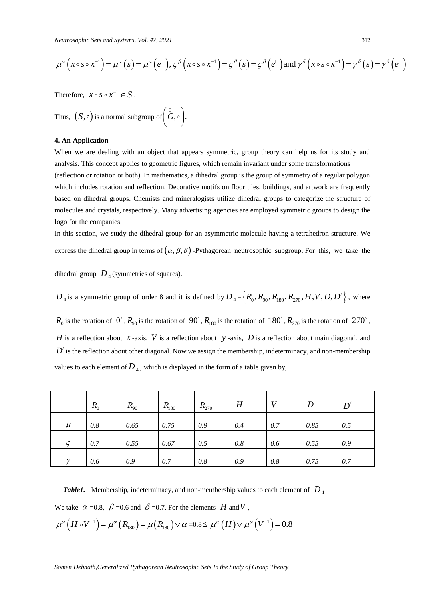*Neutrosophic Sets and Systems, Vol. 47, 2021*  
\n
$$
\mu^{\alpha}(x \circ s \circ x^{-1}) = \mu^{\alpha}(s) = \mu^{\alpha}(e^{\Box}), \varsigma^{\beta}(x \circ s \circ x^{-1}) = \varsigma^{\beta}(s) = \varsigma^{\beta}(e^{\Box}) \text{ and } \gamma^{\delta}(x \circ s \circ x^{-1}) = \gamma^{\delta}(s) = \gamma^{\delta}(e^{\Box})
$$

Thus, 
$$
(S, \circ)
$$
 is a normal subgroup of  $\left(\overset{\mathbb{D}}{G}, \circ\right)$ .

#### **4. An Application**

|                                                                                                                                                                                                                                                                                                                                                    | Therefore, $x \circ s \circ x^{-1} \in S$ .                                                                                                                                             |                                                                                                                                              |           |           |           |     |                                                                                                        |                                                                                                              |  |  |
|----------------------------------------------------------------------------------------------------------------------------------------------------------------------------------------------------------------------------------------------------------------------------------------------------------------------------------------------------|-----------------------------------------------------------------------------------------------------------------------------------------------------------------------------------------|----------------------------------------------------------------------------------------------------------------------------------------------|-----------|-----------|-----------|-----|--------------------------------------------------------------------------------------------------------|--------------------------------------------------------------------------------------------------------------|--|--|
| Thus, $(S, \circ)$ is a normal subgroup of $\left(\overset{\sqcup}{G}, \circ\right)$ .                                                                                                                                                                                                                                                             |                                                                                                                                                                                         |                                                                                                                                              |           |           |           |     |                                                                                                        |                                                                                                              |  |  |
|                                                                                                                                                                                                                                                                                                                                                    | 4. An Application                                                                                                                                                                       |                                                                                                                                              |           |           |           |     |                                                                                                        |                                                                                                              |  |  |
|                                                                                                                                                                                                                                                                                                                                                    |                                                                                                                                                                                         |                                                                                                                                              |           |           |           |     | analysis. This concept applies to geometric figures, which remain invariant under some transformations | When we are dealing with an object that appears symmetric, group theory can help us for its study and        |  |  |
| (reflection or rotation or both). In mathematics, a dihedral group is the group of symmetry of a regular polygon<br>which includes rotation and reflection. Decorative motifs on floor tiles, buildings, and artwork are frequently<br>based on dihedral groups. Chemists and mineralogists utilize dihedral groups to categorize the structure of |                                                                                                                                                                                         |                                                                                                                                              |           |           |           |     |                                                                                                        |                                                                                                              |  |  |
|                                                                                                                                                                                                                                                                                                                                                    |                                                                                                                                                                                         |                                                                                                                                              |           |           |           |     |                                                                                                        |                                                                                                              |  |  |
|                                                                                                                                                                                                                                                                                                                                                    | logo for the companies.                                                                                                                                                                 |                                                                                                                                              |           |           |           |     |                                                                                                        |                                                                                                              |  |  |
|                                                                                                                                                                                                                                                                                                                                                    |                                                                                                                                                                                         |                                                                                                                                              |           |           |           |     |                                                                                                        | In this section, we study the dihedral group for an asymmetric molecule having a tetrahedron structure. We   |  |  |
| express the dihedral group in terms of $(\alpha, \beta, \delta)$ -Pythagorean neutrosophic subgroup. For this, we take the                                                                                                                                                                                                                         |                                                                                                                                                                                         |                                                                                                                                              |           |           |           |     |                                                                                                        |                                                                                                              |  |  |
|                                                                                                                                                                                                                                                                                                                                                    | dihedral group $D_4$ (symmetries of squares).<br>$D_4$ is a symmetric group of order 8 and it is defined by $D_4 = \left\{ R_0, R_{90}, R_{180}, R_{270}, H, V, D, D' \right\}$ , where |                                                                                                                                              |           |           |           |     |                                                                                                        |                                                                                                              |  |  |
|                                                                                                                                                                                                                                                                                                                                                    |                                                                                                                                                                                         |                                                                                                                                              |           |           |           |     |                                                                                                        |                                                                                                              |  |  |
| $R_0$ is the rotation of $0^\circ$ , $R_{90}$ is the rotation of $90^\circ$ , $R_{180}$ is the rotation of $180^\circ$ , $R_{270}$ is the rotation of $270^\circ$ ,                                                                                                                                                                                |                                                                                                                                                                                         |                                                                                                                                              |           |           |           |     |                                                                                                        |                                                                                                              |  |  |
|                                                                                                                                                                                                                                                                                                                                                    |                                                                                                                                                                                         |                                                                                                                                              |           |           |           |     |                                                                                                        | H is a reflection about x-axis, V is a reflection about y-axis, D is a reflection about main diagonal, and   |  |  |
|                                                                                                                                                                                                                                                                                                                                                    |                                                                                                                                                                                         |                                                                                                                                              |           |           |           |     |                                                                                                        | $D'$ is the reflection about other diagonal. Now we assign the membership, indeterminacy, and non-membership |  |  |
|                                                                                                                                                                                                                                                                                                                                                    |                                                                                                                                                                                         | values to each element of $D_4$ , which is displayed in the form of a table given by,                                                        |           |           |           |     |                                                                                                        |                                                                                                              |  |  |
|                                                                                                                                                                                                                                                                                                                                                    | $R_{0}$                                                                                                                                                                                 | $R_{90}$                                                                                                                                     | $R_{180}$ | $R_{270}$ | $H_{\rm}$ | V   | $\boldsymbol{D}$                                                                                       | $D^{'}$                                                                                                      |  |  |
| $\mu$                                                                                                                                                                                                                                                                                                                                              | 0.8                                                                                                                                                                                     | 0.65                                                                                                                                         | 0.75      | 0.9       | 0.4       | 0.7 | 0.85                                                                                                   | 0.5                                                                                                          |  |  |
|                                                                                                                                                                                                                                                                                                                                                    | 0.7                                                                                                                                                                                     | 0.55                                                                                                                                         | 0.67      | 0.5       | 0.8       | 0.6 | 0.55                                                                                                   | 0.9                                                                                                          |  |  |
| $\varsigma$                                                                                                                                                                                                                                                                                                                                        |                                                                                                                                                                                         |                                                                                                                                              | 0.7       | 0.8       | 0.9       | 0.8 | 0.75                                                                                                   | 0.7                                                                                                          |  |  |
| γ                                                                                                                                                                                                                                                                                                                                                  | 0.6                                                                                                                                                                                     | 0.9                                                                                                                                          |           |           |           |     |                                                                                                        |                                                                                                              |  |  |
|                                                                                                                                                                                                                                                                                                                                                    |                                                                                                                                                                                         |                                                                                                                                              |           |           |           |     |                                                                                                        |                                                                                                              |  |  |
| Table1.                                                                                                                                                                                                                                                                                                                                            |                                                                                                                                                                                         | Membership, indeterminacy, and non-membership values to each element of $D_4$                                                                |           |           |           |     |                                                                                                        |                                                                                                              |  |  |
|                                                                                                                                                                                                                                                                                                                                                    |                                                                                                                                                                                         | We take $\alpha$ =0.8, $\beta$ =0.6 and $\delta$ =0.7. For the elements H and V,                                                             |           |           |           |     |                                                                                                        |                                                                                                              |  |  |
|                                                                                                                                                                                                                                                                                                                                                    |                                                                                                                                                                                         | $\mu^{\alpha}(H \circ V^{-1}) = \mu^{\alpha}(R_{180}) = \mu(R_{180}) \vee \alpha = 0.8 \leq \mu^{\alpha}(H) \vee \mu^{\alpha}(V^{-1}) = 0.8$ |           |           |           |     |                                                                                                        |                                                                                                              |  |  |

We take 
$$
\alpha = 0.8
$$
,  $\beta = 0.6$  and  $\delta = 0.7$ . For the elements *H* and *V*,  
\n
$$
\mu^{\alpha} (H \circ V^{-1}) = \mu^{\alpha} (R_{180}) = \mu (R_{180}) \vee \alpha = 0.8 \le \mu^{\alpha} (H) \vee \mu^{\alpha} (V^{-1}) = 0.8
$$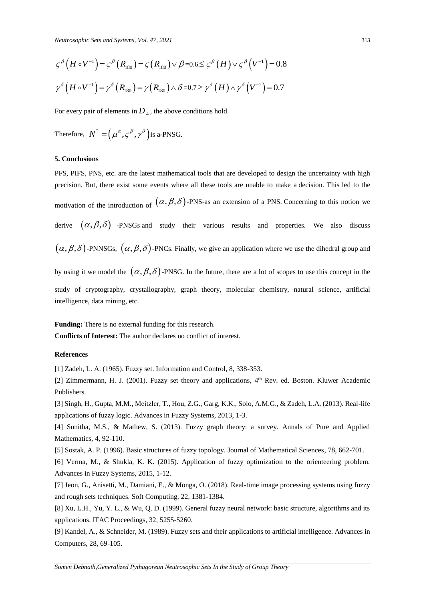$$
\varsigma^{\beta}\left(H\circ V^{-1}\right) = \varsigma^{\beta}\left(R_{180}\right) = \varsigma\left(R_{180}\right) \vee \beta = 0.6 \leq \varsigma^{\beta}\left(H\right) \vee \varsigma^{\beta}\left(V^{-1}\right) = 0.8
$$
  

$$
\gamma^{\delta}\left(H\circ V^{-1}\right) = \gamma^{\delta}\left(R_{180}\right) = \gamma\left(R_{180}\right) \wedge \delta = 0.7 \geq \gamma^{\delta}\left(H\right) \wedge \gamma^{\delta}\left(V^{-1}\right) = 0.7
$$

For every pair of elements in  $\overline{D}_4$  , the above conditions hold.

Therefore, 
$$
N^{\mathbb{D}} = (\mu^{\alpha}, \varsigma^{\beta}, \gamma^{\delta})
$$
 is a-PNSG.

#### **5. Conclusions**

 $\zeta^S(H \circ V^{-1}) = \zeta^S(R_{\text{sin}}) = \zeta(R_{\text{sin}}) \vee \partial \pm 0.6 \leq \zeta^S(H) \vee \zeta^S(V^{-1}) = 0.8$ <br>  $\gamma^S(H \circ V^{-1}) = \gamma^S(R_{\text{sin}}) = \gamma(R_{\text{tan}}) \wedge \delta = 0.7$ <br>
For every pair of clements in  $D_4$ , the above conditions hold.<br>
Therefore,  $N^0 = (\mu^a \cdot \zeta^S$ PFS, PIFS, PNS, etc. are the latest mathematical tools that are developed to design the uncertainty with high precision. But, there exist some events where all these tools are unable to make a decision. This led to the motivation of the introduction of  $(\alpha, \beta, \delta)$ -PNS-as an extension of a PNS. Concerning to this notion we derive  $(\alpha, \beta, \delta)$  -PNSGs and study their various results and properties. We also discuss  $(\alpha, \beta, \delta)$ -PNNSGs,  $(\alpha, \beta, \delta)$ -PNCs. Finally, we give an application where we use the dihedral group and by using it we model the  $(\alpha, \beta, \delta)$ -PNSG. In the future, there are a lot of scopes to use this concept in the study of cryptography, crystallography, graph theory, molecular chemistry, natural science, artificial intelligence, data mining, etc.

**Funding:** There is no external funding for this research.

**Conflicts of Interest:** The author declares no conflict of interest.

# **References**

[1] Zadeh, L. A. (1965). Fuzzy set. Information and Control, 8, 338-353.

[2] Zimmermann, H. J. (2001). Fuzzy set theory and applications, 4<sup>th</sup> Rev. ed. Boston. Kluwer Academic Publishers.

[3] Singh, H., Gupta, M.M., Meitzler, T., Hou, Z.G., Garg, K.K., Solo, A.M.G., & Zadeh, L.A. (2013). Real-life applications of fuzzy logic. Advances in Fuzzy Systems, 2013, 1-3.

[4] Sunitha, M.S., & Mathew, S. (2013). Fuzzy graph theory: a survey. Annals of Pure and Applied Mathematics, 4, 92-110.

[5] Sostak, A. P. (1996). Basic structures of fuzzy topology. Journal of Mathematical Sciences, 78, 662-701.

[6] Verma, M., & Shukla, K. K. (2015). Application of fuzzy optimization to the orienteering problem. Advances in Fuzzy Systems, 2015, 1-12.

[7] Jeon, G., Anisetti, M., Damiani, E., & Monga, O. (2018). Real-time image processing systems using fuzzy and rough sets techniques. Soft Computing, 22, 1381-1384.

[8] Xu, L.H., Yu, Y. L., & Wu, Q. D. (1999). General fuzzy neural network: basic structure, algorithms and its applications. IFAC Proceedings, 32, 5255-5260.

[9] Kandel, A., & Schneider, M. (1989). Fuzzy sets and their applications to artificial intelligence. Advances in Computers, 28, 69-105.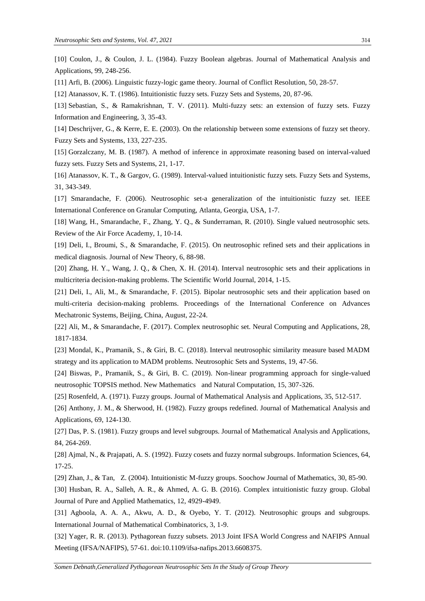[10] Coulon, J., & Coulon, J. L. (1984). Fuzzy Boolean algebras. Journal of Mathematical Analysis and Applications, 99, 248-256.

[11] Arfi, B. (2006). Linguistic fuzzy-logic game theory. Journal of Conflict Resolution, 50, 28-57.

[12] Atanassov, K. T. (1986). Intuitionistic fuzzy sets. Fuzzy Sets and Systems, 20, 87-96.

[13] Sebastian, S., & Ramakrishnan, T. V. (2011). Multi-fuzzy sets: an extension of fuzzy sets. Fuzzy Information and Engineering, 3, 35-43.

[14] Deschrijver, G., & Kerre, E. E. (2003). On the relationship between some extensions of fuzzy set theory. Fuzzy Sets and Systems, 133, 227-235.

[15] Gorzalczany, M. B. (1987). A method of inference in approximate reasoning based on interval-valued fuzzy sets. Fuzzy Sets and Systems, 21, 1-17.

[16] Atanassov, K. T., & Gargov, G. (1989). Interval-valued intuitionistic fuzzy sets. Fuzzy Sets and Systems, 31, 343-349.

[17] Smarandache, F. (2006). Neutrosophic set-a generalization of the intuitionistic fuzzy set. IEEE International Conference on Granular Computing, Atlanta, Georgia, USA, 1-7.

[18] Wang, H., Smarandache, F., Zhang, Y. Q., & Sunderraman, R. (2010). Single valued neutrosophic sets. Review of the Air Force Academy, 1, 10-14.

[19] Deli, I., Broumi, S., & Smarandache, F. (2015). On neutrosophic refined sets and their applications in medical diagnosis. Journal of New Theory, 6, 88-98.

[20] Zhang, H. Y., Wang, J. Q., & Chen, X. H. (2014). Interval neutrosophic sets and their applications in multicriteria decision-making problems. The Scientific World Journal, 2014, 1-15.

[21] Deli, I., Ali, M., & Smarandache, F. (2015). Bipolar neutrosophic sets and their application based on multi-criteria decision-making problems. Proceedings of the International Conference on Advances Mechatronic Systems, Beijing, China, August, 22-24.

[22] Ali, M., & Smarandache, F. (2017). Complex neutrosophic set. Neural Computing and Applications, 28, 1817-1834.

[23] Mondal, K., Pramanik, S., & Giri, B. C. (2018). Interval neutrosophic similarity measure based MADM strategy and its application to MADM problems. Neutrosophic Sets and Systems, 19, 47-56.

[24] Biswas, P., Pramanik, S., & Giri, B. C. (2019). Non-linear programming approach for single-valued neutrosophic TOPSIS method. New Mathematics and Natural Computation, 15, 307-326.

[25] Rosenfeld, A. (1971). Fuzzy groups. Journal of Mathematical Analysis and Applications, 35, 512-517.

[26] Anthony, J. M., & Sherwood, H. (1982). Fuzzy groups redefined. Journal of Mathematical Analysis and Applications, 69, 124-130.

[27] Das, P. S. (1981). Fuzzy groups and level subgroups. Journal of Mathematical Analysis and Applications, 84, 264-269.

[28] Ajmal, N., & Prajapati, A. S. (1992). Fuzzy cosets and fuzzy normal subgroups. Information Sciences, 64, 17-25.

[29] Zhan, J., & Tan, Z. (2004). Intuitionistic M-fuzzy groups. Soochow Journal of Mathematics, 30, 85-90.

[30] Husban, R. A., Salleh, A. R., & Ahmed, A. G. B. (2016). Complex intuitionistic fuzzy group. Global Journal of Pure and Applied Mathematics, 12, 4929-4949.

[31] Agboola, A. A., A., Akwu, A. D., & Oyebo, Y. T. (2012). Neutrosophic groups and subgroups. International Journal of Mathematical Combinatorics, 3, 1-9.

[32] Yager, R. R. (2013). Pythagorean fuzzy subsets. 2013 Joint IFSA World Congress and NAFIPS Annual Meeting (IFSA/NAFIPS), 57-61. doi:10.1109/ifsa-nafips.2013.6608375.